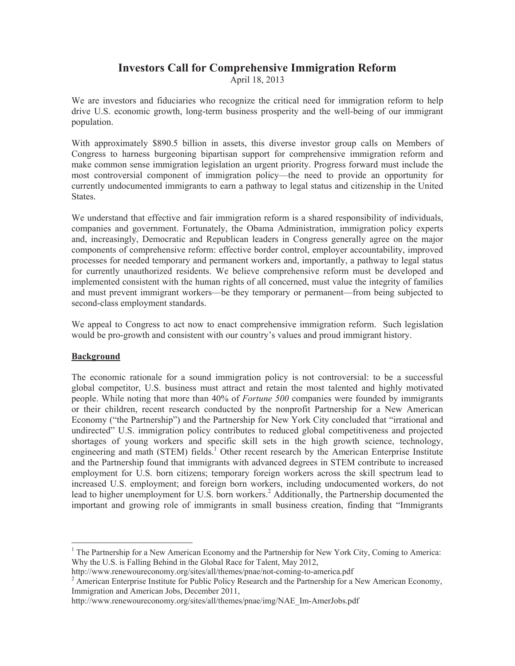## **Investors Call for Comprehensive Immigration Reform**

April 18, 2013

We are investors and fiduciaries who recognize the critical need for immigration reform to help drive U.S. economic growth, long-term business prosperity and the well-being of our immigrant population.

With approximately \$890.5 billion in assets, this diverse investor group calls on Members of Congress to harness burgeoning bipartisan support for comprehensive immigration reform and make common sense immigration legislation an urgent priority. Progress forward must include the most controversial component of immigration policy—the need to provide an opportunity for currently undocumented immigrants to earn a pathway to legal status and citizenship in the United States.

We understand that effective and fair immigration reform is a shared responsibility of individuals, companies and government. Fortunately, the Obama Administration, immigration policy experts and, increasingly, Democratic and Republican leaders in Congress generally agree on the major components of comprehensive reform: effective border control, employer accountability, improved processes for needed temporary and permanent workers and, importantly, a pathway to legal status for currently unauthorized residents. We believe comprehensive reform must be developed and implemented consistent with the human rights of all concerned, must value the integrity of families and must prevent immigrant workers—be they temporary or permanent—from being subjected to second-class employment standards.

We appeal to Congress to act now to enact comprehensive immigration reform. Such legislation would be pro-growth and consistent with our country's values and proud immigrant history.

## **Background**

The economic rationale for a sound immigration policy is not controversial: to be a successful global competitor, U.S. business must attract and retain the most talented and highly motivated people. While noting that more than 40% of *Fortune 500* companies were founded by immigrants or their children, recent research conducted by the nonprofit Partnership for a New American Economy ("the Partnership") and the Partnership for New York City concluded that "irrational and undirected" U.S. immigration policy contributes to reduced global competitiveness and projected shortages of young workers and specific skill sets in the high growth science, technology, engineering and math (STEM) fields.<sup>1</sup> Other recent research by the American Enterprise Institute and the Partnership found that immigrants with advanced degrees in STEM contribute to increased employment for U.S. born citizens; temporary foreign workers across the skill spectrum lead to increased U.S. employment; and foreign born workers, including undocumented workers, do not lead to higher unemployment for U.S. born workers.<sup>2</sup> Additionally, the Partnership documented the important and growing role of immigrants in small business creation, finding that "Immigrants"

<sup>&</sup>lt;sup>1</sup> The Partnership for a New American Economy and the Partnership for New York City, Coming to America: Why the U.S. is Falling Behind in the Global Race for Talent, May 2012,

http://www.renewoureconomy.org/sites/all/themes/pnae/not-coming-to-america.pdf

<sup>&</sup>lt;sup>2</sup> American Enterprise Institute for Public Policy Research and the Partnership for a New American Economy, Immigration and American Jobs, December 2011,

http://www.renewoureconomy.org/sites/all/themes/pnae/img/NAE Im-AmerJobs.pdf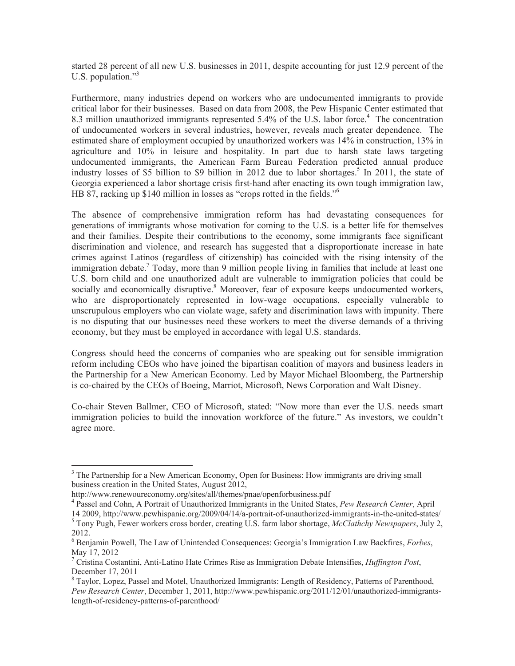started 28 percent of all new U.S. businesses in 2011, despite accounting for just 12.9 percent of the U.S. population." $3$ 

Furthermore, many industries depend on workers who are undocumented immigrants to provide critical labor for their businesses. Based on data from 2008, the Pew Hispanic Center estimated that 8.3 million unauthorized immigrants represented 5.4% of the U.S. labor force.<sup>4</sup> The concentration of undocumented workers in several industries, however, reveals much greater dependence. The estimated share of employment occupied by unauthorized workers was 14% in construction, 13% in agriculture and 10% in leisure and hospitality. In part due to harsh state laws targeting undocumented immigrants, the American Farm Bureau Federation predicted annual produce industry losses of \$5 billion to \$9 billion in 2012 due to labor shortages.<sup>5</sup> In 2011, the state of Georgia experienced a labor shortage crisis first-hand after enacting its own tough immigration law, HB 87, racking up \$140 million in losses as "crops rotted in the fields."

The absence of comprehensive immigration reform has had devastating consequences for generations of immigrants whose motivation for coming to the U.S. is a better life for themselves and their families. Despite their contributions to the economy, some immigrants face significant discrimination and violence, and research has suggested that a disproportionate increase in hate crimes against Latinos (regardless of citizenship) has coincided with the rising intensity of the immigration debate.<sup>7</sup> Today, more than 9 million people living in families that include at least one U.S. born child and one unauthorized adult are vulnerable to immigration policies that could be socially and economically disruptive.<sup>8</sup> Moreover, fear of exposure keeps undocumented workers, who are disproportionately represented in low-wage occupations, especially vulnerable to unscrupulous employers who can violate wage, safety and discrimination laws with impunity. There is no disputing that our businesses need these workers to meet the diverse demands of a thriving economy, but they must be employed in accordance with legal U.S. standards.

Congress should heed the concerns of companies who are speaking out for sensible immigration reform including CEOs who have joined the bipartisan coalition of mayors and business leaders in the Partnership for a New American Economy. Led by Mayor Michael Bloomberg, the Partnership is co-chaired by the CEOs of Boeing, Marriot, Microsoft, News Corporation and Walt Disney.

Co-chair Steven Ballmer, CEO of Microsoft, stated: "Now more than ever the U.S. needs smart immigration policies to build the innovation workforce of the future." As investors, we couldn't agree more.

<sup>&</sup>lt;sup>3</sup> The Partnership for a New American Economy, Open for Business: How immigrants are driving small business creation in the United States, August 2012,

http://www.renewoureconomy.org/sites/all/themes/pnae/openforbusiness.pdf

<sup>&</sup>lt;sup>4</sup> Passel and Cohn, A Portrait of Unauthorized Immigrants in the United States, Pew Research Center, April

<sup>14 2009,</sup> http://www.pewhispanic.org/2009/04/14/a-portrait-of-unauthorized-immigrants-in-the-united-states/ <sup>5</sup> Tony Pugh, Fewer workers cross border, creating U.S. farm labor shortage, McClathchy Newspapers, July 2, 2012.

 $\delta$  Benjamin Powell, The Law of Unintended Consequences: Georgia's Immigration Law Backfires, Forbes, May 17, 2012

<sup>&</sup>lt;sup>7</sup> Cristina Costantini, Anti-Latino Hate Crimes Rise as Immigration Debate Intensifies, *Huffington Post*, December 17, 2011

<sup>&</sup>lt;sup>8</sup> Taylor, Lopez, Passel and Motel, Unauthorized Immigrants: Length of Residency, Patterns of Parenthood, Pew Research Center, December 1, 2011, http://www.pewhispanic.org/2011/12/01/unauthorized-immigrantslength-of-residency-patterns-of-parenthood/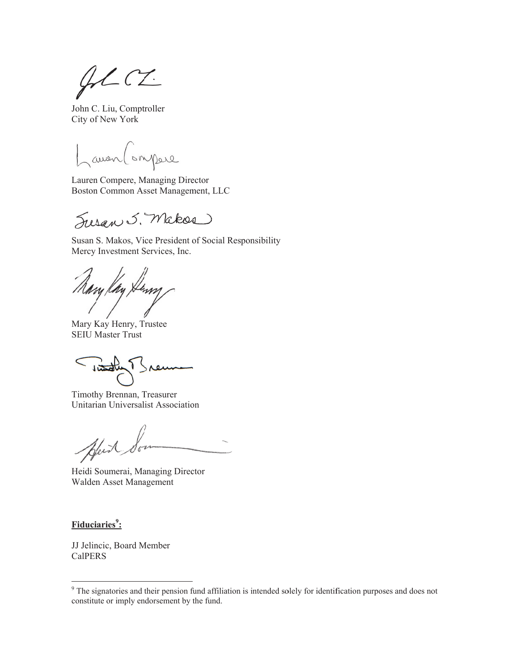$42C2$ 

John C. Liu, Comptroller City of New York

Lamen (ompere

Lauren Compere, Managing Director Boston Common Asset Management, LLC

Susan 5. Makes

Susan S. Makos, Vice President of Social Responsibility Mercy Investment Services, Inc.

my Kay Kenny

Mary Kay Henry, Trustee **SEIU Master Trust** 

 $< \frac{1}{\sqrt{2}}$  $\alpha$ 

Timothy Brennan, Treasurer Unitarian Universalist Association

Bleich

Heidi Soumerai, Managing Director Walden Asset Management

Fiduciaries<sup>9</sup>:

JJ Jelincic, Board Member **CalPERS** 

 $9$  The signatories and their pension fund affiliation is intended solely for identification purposes and does not constitute or imply endorsement by the fund.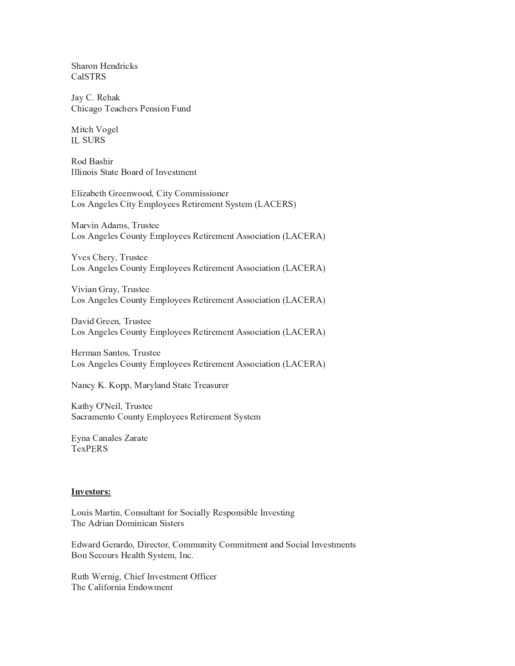Sharon Hendricks **CalSTRS** 

Jay C. Rehak Chicago Teachers Pension Fund

Mitch Vogel **IL SURS** 

Rod Bashir Illinois State Board of Investment

Elizabeth Greenwood, City Commissioner Los Angeles City Employees Retirement System (LACERS)

Marvin Adams, Trustee Los Angeles County Employees Retirement Association (LACERA)

Yves Chery, Trustee Los Angeles County Employees Retirement Association (LACERA)

Vivian Gray, Trustee Los Angeles County Employees Retirement Association (LACERA)

David Green, Trustee Los Angeles County Employees Retirement Association (LACERA)

Herman Santos, Trustee Los Angeles County Employees Retirement Association (LACERA)

Nancy K. Kopp, Maryland State Treasurer

Kathy O'Neil, Trustee Sacramento County Employees Retirement System

Eyna Canales Zarate **TexPERS** 

## **Investors:**

Louis Martin, Consultant for Socially Responsible Investing The Adrian Dominican Sisters

Edward Gerardo, Director, Community Commitment and Social Investments Bon Secours Health System, Inc.

Ruth Wernig, Chief Investment Officer The California Endowment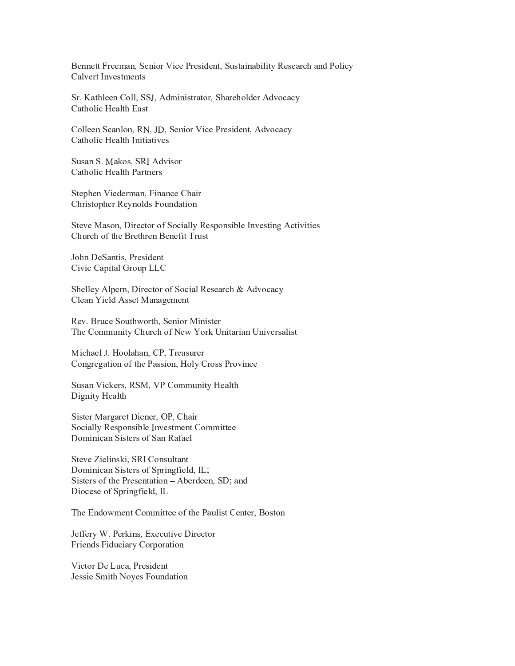Bennett Freeman, Senior Vice President, Sustainability Research and Policy Calvert Investments

Sr. Kathleen Coll, SSJ, Administrator, Shareholder Advocacy Catholic Health East

Colleen Scanlon, RN, JD, Senior Vice President, Advocacy Catholic Health Initiatives

Susan S. Makos, SRI Advisor Catholic Health Partners

Stephen Viederman, Finance Chair **Christopher Reynolds Foundation** 

Steve Mason, Director of Socially Responsible Investing Activities Church of the Brethren Benefit Trust

John DeSantis, President Civic Capital Group LLC

Shelley Alpern, Director of Social Research & Advocacy Clean Yield Asset Management

Rev. Bruce Southworth, Senior Minister The Community Church of New York Unitarian Universalist

Michael J. Hoolahan, CP, Treasurer Congregation of the Passion, Holy Cross Province

Susan Vickers, RSM, VP Community Health Dignity Health

Sister Margaret Diener, OP, Chair Socially Responsible Investment Committee Dominican Sisters of San Rafael

Steve Zielinski, SRI Consultant Dominican Sisters of Springfield, IL; Sisters of the Presentation - Aberdeen, SD; and Diocese of Springfield, IL

The Endowment Committee of the Paulist Center, Boston

Jeffery W. Perkins, Executive Director Friends Fiduciary Corporation

Victor De Luca, President Jessie Smith Noyes Foundation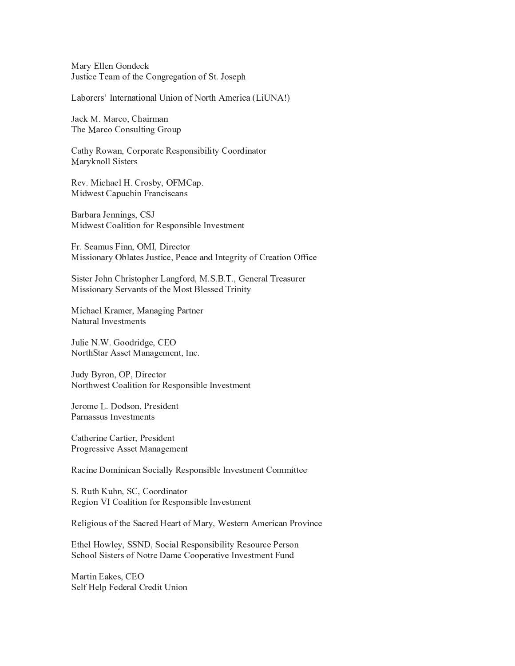Mary Ellen Gondeck Justice Team of the Congregation of St. Joseph

Laborers' International Union of North America (LiUNA!)

Jack M. Marco, Chairman The Marco Consulting Group

Cathy Rowan, Corporate Responsibility Coordinator Maryknoll Sisters

Rev. Michael H. Crosby, OFMCap. Midwest Capuchin Franciscans

Barbara Jennings, CSJ Midwest Coalition for Responsible Investment

Fr. Seamus Finn, OMI, Director Missionary Oblates Justice, Peace and Integrity of Creation Office

Sister John Christopher Langford, M.S.B.T., General Treasurer Missionary Servants of the Most Blessed Trinity

Michael Kramer, Managing Partner Natural Investments

Julie N.W. Goodridge, CEO NorthStar Asset Management, Inc.

Judy Byron, OP, Director Northwest Coalition for Responsible Investment

Jerome L. Dodson, President Parnassus Investments

Catherine Cartier, President Progressive Asset Management

Racine Dominican Socially Responsible Investment Committee

S. Ruth Kuhn, SC, Coordinator Region VI Coalition for Responsible Investment

Religious of the Sacred Heart of Mary, Western American Province

Ethel Howley, SSND, Social Responsibility Resource Person School Sisters of Notre Dame Cooperative Investment Fund

Martin Eakes, CEO Self Help Federal Credit Union